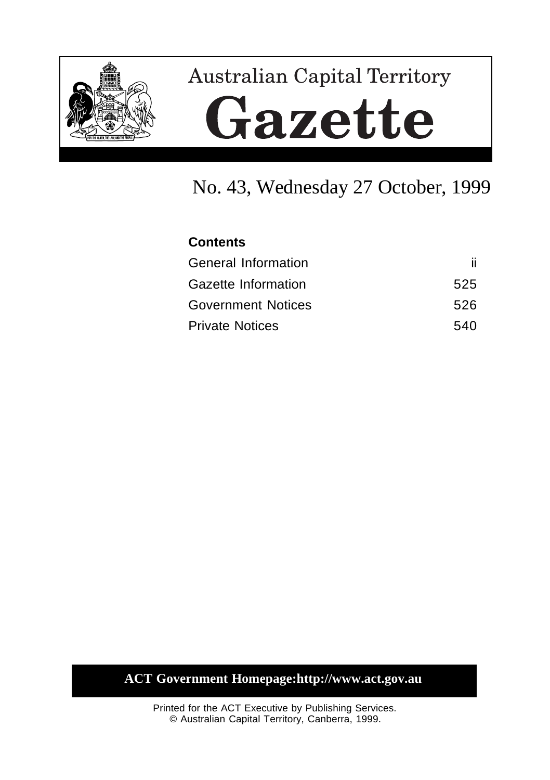

# **Australian Capital Territory** Gazette

# No. 43, Wednesday 27 October, 1999

| <b>Contents</b>            |     |
|----------------------------|-----|
| <b>General Information</b> | ii. |
| Gazette Information        | 525 |
| <b>Government Notices</b>  | 526 |
| <b>Private Notices</b>     | 540 |

# **ACT Government Homepage:http://www.act.gov.au**

Printed for the ACT Executive by Publishing Services. © Australian Capital Territory, Canberra, 1999.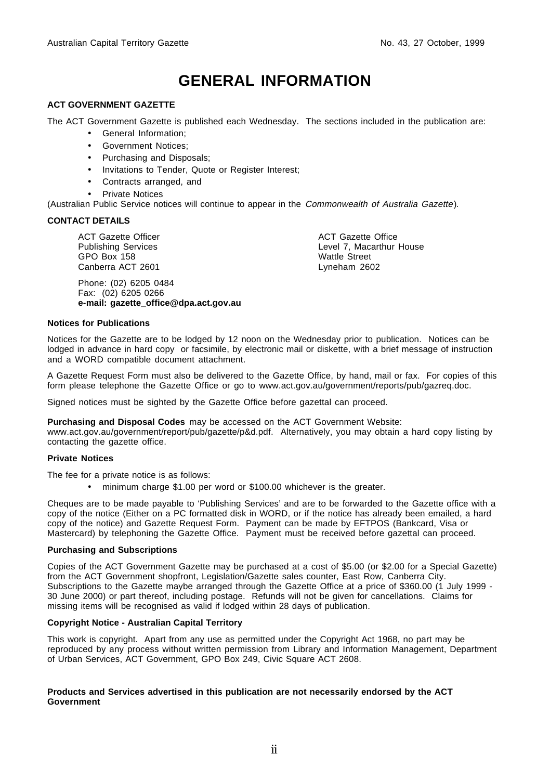# **GENERAL INFORMATION**

#### **ACT GOVERNMENT GAZETTE**

The ACT Government Gazette is published each Wednesday. The sections included in the publication are:

- General Information;
- Government Notices;
- Purchasing and Disposals;
- Invitations to Tender, Quote or Register Interest;
- Contracts arranged, and
- **Private Notices**

(Australian Public Service notices will continue to appear in the Commonwealth of Australia Gazette).

#### **CONTACT DETAILS**

ACT Gazette Officer Publishing Services GPO Box 158 Canberra ACT 2601

Phone: (02) 6205 0484 Fax: (02) 6205 0266 **e-mail: gazette\_office@dpa.act.gov.au**

ACT Gazette Office Level 7, Macarthur House Wattle Street Lyneham 2602

#### **Notices for Publications**

Notices for the Gazette are to be lodged by 12 noon on the Wednesday prior to publication. Notices can be lodged in advance in hard copy or facsimile, by electronic mail or diskette, with a brief message of instruction and a WORD compatible document attachment.

A Gazette Request Form must also be delivered to the Gazette Office, by hand, mail or fax. For copies of this form please telephone the Gazette Office or go to www.act.gov.au/government/reports/pub/gazreq.doc.

Signed notices must be sighted by the Gazette Office before gazettal can proceed.

#### **Purchasing and Disposal Codes** may be accessed on the ACT Government Website:

www.act.gov.au/government/report/pub/gazette/p&d.pdf. Alternatively, you may obtain a hard copy listing by contacting the gazette office.

#### **Private Notices**

The fee for a private notice is as follows:

• minimum charge \$1.00 per word or \$100.00 whichever is the greater.

Cheques are to be made payable to 'Publishing Services' and are to be forwarded to the Gazette office with a copy of the notice (Either on a PC formatted disk in WORD, or if the notice has already been emailed, a hard copy of the notice) and Gazette Request Form. Payment can be made by EFTPOS (Bankcard, Visa or Mastercard) by telephoning the Gazette Office. Payment must be received before gazettal can proceed.

#### **Purchasing and Subscriptions**

Copies of the ACT Government Gazette may be purchased at a cost of \$5.00 (or \$2.00 for a Special Gazette) from the ACT Government shopfront, Legislation/Gazette sales counter, East Row, Canberra City. Subscriptions to the Gazette maybe arranged through the Gazette Office at a price of \$360.00 (1 July 1999 -30 June 2000) or part thereof, including postage. Refunds will not be given for cancellations. Claims for missing items will be recognised as valid if lodged within 28 days of publication.

#### **Copyright Notice - Australian Capital Territory**

This work is copyright. Apart from any use as permitted under the Copyright Act 1968, no part may be reproduced by any process without written permission from Library and Information Management, Department of Urban Services, ACT Government, GPO Box 249, Civic Square ACT 2608.

#### **Products and Services advertised in this publication are not necessarily endorsed by the ACT Government**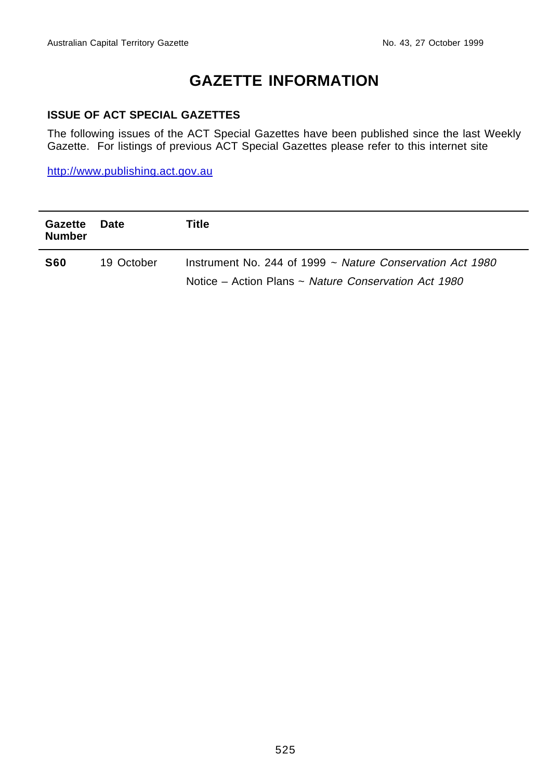# **GAZETTE INFORMATION**

#### **ISSUE OF ACT SPECIAL GAZETTES**

The following issues of the ACT Special Gazettes have been published since the last Weekly Gazette. For listings of previous ACT Special Gazettes please refer to this internet site

http://www.publishing.act.gov.au

| Gazette<br><b>Number</b> | Date       | Title                                                                                                                  |
|--------------------------|------------|------------------------------------------------------------------------------------------------------------------------|
| <b>S60</b>               | 19 October | Instrument No. 244 of 1999 $\sim$ Nature Conservation Act 1980<br>Notice – Action Plans ~ Nature Conservation Act 1980 |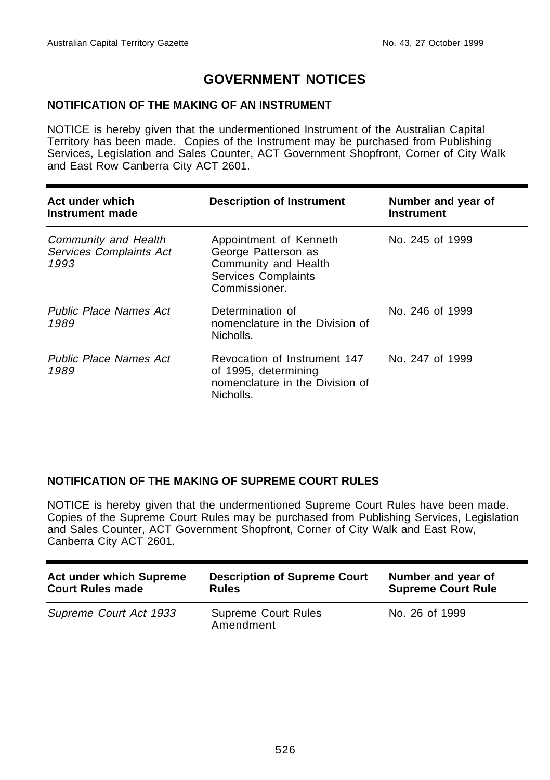## **GOVERNMENT NOTICES**

#### **NOTIFICATION OF THE MAKING OF AN INSTRUMENT**

NOTICE is hereby given that the undermentioned Instrument of the Australian Capital Territory has been made. Copies of the Instrument may be purchased from Publishing Services, Legislation and Sales Counter, ACT Government Shopfront, Corner of City Walk and East Row Canberra City ACT 2601.

| Act under which<br>Instrument made                      | <b>Description of Instrument</b>                                                                                     | Number and year of<br><b>Instrument</b> |
|---------------------------------------------------------|----------------------------------------------------------------------------------------------------------------------|-----------------------------------------|
| Community and Health<br>Services Complaints Act<br>1993 | Appointment of Kenneth<br>George Patterson as<br>Community and Health<br><b>Services Complaints</b><br>Commissioner. | No. 245 of 1999                         |
| <b>Public Place Names Act</b><br>1989                   | Determination of<br>nomenclature in the Division of<br>Nicholls.                                                     | No. 246 of 1999                         |
| <b>Public Place Names Act</b><br>1989                   | Revocation of Instrument 147<br>of 1995, determining<br>nomenclature in the Division of<br>Nicholls.                 | No. 247 of 1999                         |

#### **NOTIFICATION OF THE MAKING OF SUPREME COURT RULES**

NOTICE is hereby given that the undermentioned Supreme Court Rules have been made. Copies of the Supreme Court Rules may be purchased from Publishing Services, Legislation and Sales Counter, ACT Government Shopfront, Corner of City Walk and East Row, Canberra City ACT 2601.

| <b>Act under which Supreme</b> | <b>Description of Supreme Court</b>     | Number and year of        |
|--------------------------------|-----------------------------------------|---------------------------|
| <b>Court Rules made</b>        | <b>Rules</b>                            | <b>Supreme Court Rule</b> |
| Supreme Court Act 1933         | <b>Supreme Court Rules</b><br>Amendment | No. 26 of 1999            |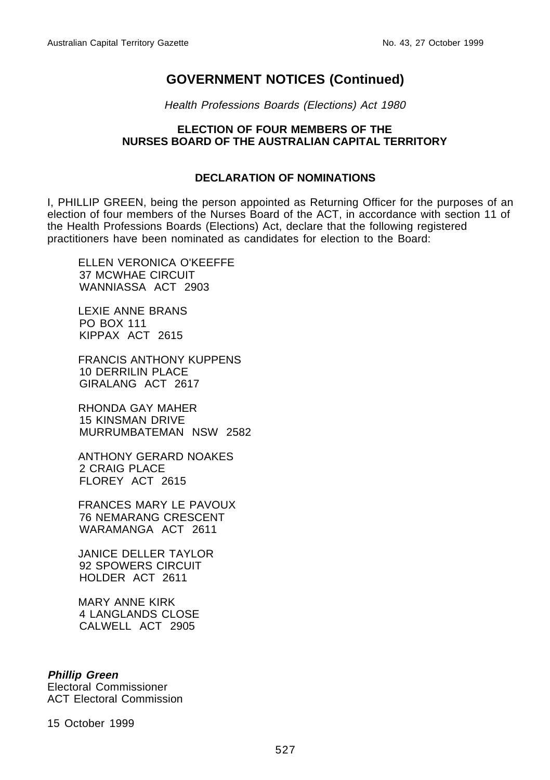Health Professions Boards (Elections) Act 1980

#### **ELECTION OF FOUR MEMBERS OF THE NURSES BOARD OF THE AUSTRALIAN CAPITAL TERRITORY**

#### **DECLARATION OF NOMINATIONS**

I, PHILLIP GREEN, being the person appointed as Returning Officer for the purposes of an election of four members of the Nurses Board of the ACT, in accordance with section 11 of the Health Professions Boards (Elections) Act, declare that the following registered practitioners have been nominated as candidates for election to the Board:

ELLEN VERONICA O'KEEFFE 37 MCWHAE CIRCUIT WANNIASSA ACT 2903

LEXIE ANNE BRANS PO BOX 111 KIPPAX ACT 2615

FRANCIS ANTHONY KUPPENS 10 DERRILIN PLACE GIRALANG ACT 2617

RHONDA GAY MAHER 15 KINSMAN DRIVE MURRUMBATEMAN NSW 2582

ANTHONY GERARD NOAKES 2 CRAIG PLACE FLOREY ACT 2615

FRANCES MARY LE PAVOUX 76 NEMARANG CRESCENT WARAMANGA ACT 2611

JANICE DELLER TAYLOR 92 SPOWERS CIRCUIT HOLDER ACT 2611

MARY ANNE KIRK 4 LANGLANDS CLOSE CALWELL ACT 2905

#### **Phillip Green**

Electoral Commissioner ACT Electoral Commission

15 October 1999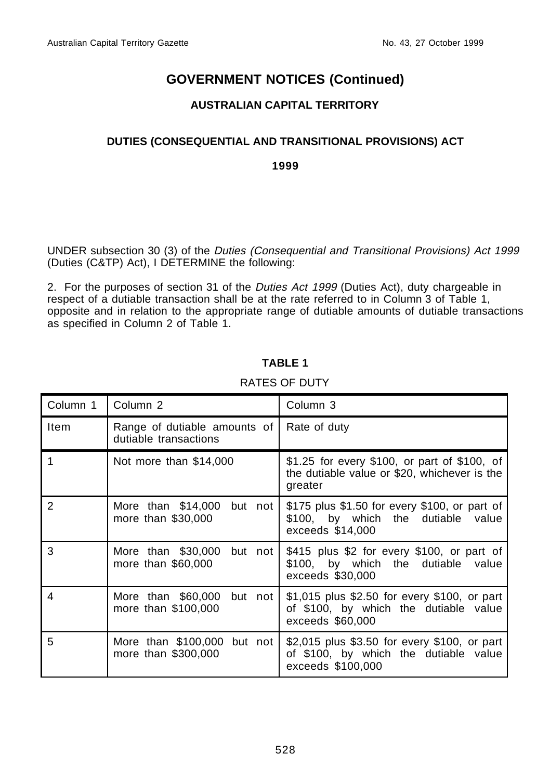### **AUSTRALIAN CAPITAL TERRITORY**

#### **DUTIES (CONSEQUENTIAL AND TRANSITIONAL PROVISIONS) ACT**

**1999**

UNDER subsection 30 (3) of the Duties (Consequential and Transitional Provisions) Act 1999 (Duties (C&TP) Act), I DETERMINE the following:

2. For the purposes of section 31 of the Duties Act 1999 (Duties Act), duty chargeable in respect of a dutiable transaction shall be at the rate referred to in Column 3 of Table 1, opposite and in relation to the appropriate range of dutiable amounts of dutiable transactions as specified in Column 2 of Table 1.

## **TABLE 1**

| Column 1 | Column <sub>2</sub>                                   | Column 3                                                                                                   |  |
|----------|-------------------------------------------------------|------------------------------------------------------------------------------------------------------------|--|
| Item     | Range of dutiable amounts of<br>dutiable transactions | Rate of duty                                                                                               |  |
|          | Not more than \$14,000                                | \$1.25 for every \$100, or part of \$100, of<br>the dutiable value or \$20, whichever is the<br>greater    |  |
| 2        | More than \$14,000<br>but not<br>more than \$30,000   | \$175 plus \$1.50 for every \$100, or part of<br>\$100, by which the dutiable value<br>exceeds \$14,000    |  |
| 3        | More than \$30,000<br>but not<br>more than \$60,000   | \$415 plus \$2 for every \$100, or part of<br>\$100, by which the dutiable value<br>exceeds \$30,000       |  |
| 4        | More than \$60,000 but not<br>more than \$100,000     | \$1,015 plus \$2.50 for every \$100, or part<br>of \$100, by which the dutiable value<br>exceeds \$60,000  |  |
| 5        | More than \$100,000 but not<br>more than \$300,000    | \$2,015 plus \$3.50 for every \$100, or part<br>of \$100, by which the dutiable value<br>exceeds \$100,000 |  |

#### RATES OF DUTY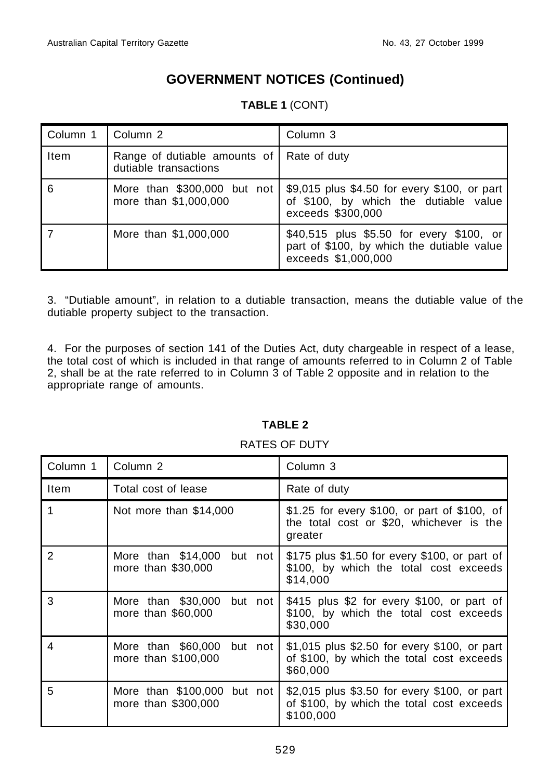| Column 1 | Column 2                                                           | Column 3                                                                                                      |
|----------|--------------------------------------------------------------------|---------------------------------------------------------------------------------------------------------------|
| Item     | Range of dutiable amounts of Rate of duty<br>dutiable transactions |                                                                                                               |
| 6        | More than \$300,000 but not<br>more than \$1,000,000               | \$9,015 plus \$4.50 for every \$100, or part<br>of \$100, by which the dutiable value<br>exceeds \$300,000    |
|          | More than \$1,000,000                                              | \$40,515 plus \$5.50 for every \$100, or<br>part of \$100, by which the dutiable value<br>exceeds \$1,000,000 |

## **TABLE 1** (CONT)

3. "Dutiable amount", in relation to a dutiable transaction, means the dutiable value of the dutiable property subject to the transaction.

4. For the purposes of section 141 of the Duties Act, duty chargeable in respect of a lease, the total cost of which is included in that range of amounts referred to in Column 2 of Table 2, shall be at the rate referred to in Column 3 of Table 2 opposite and in relation to the appropriate range of amounts.

#### **TABLE 2**

#### Column 1 Column 2 Column 3 Item Total cost of lease Rate of duty 1 Not more than \$14,000 | \$1.25 for every \$100, or part of \$100, of the total cost or \$20, whichever is the greater 2 More than \$14,000 but not more than \$30,000 \$175 plus \$1.50 for every \$100, or part of \$100, by which the total cost exceeds \$14,000 3 More than \$30,000 but not more than \$60,000 \$415 plus \$2 for every \$100, or part of \$100, by which the total cost exceeds \$30,000 4 More than \$60,000 but not more than \$100,000 \$1,015 plus \$2.50 for every \$100, or part of \$100, by which the total cost exceeds \$60,000 5 More than \$100,000 but not more than \$300,000 \$2,015 plus \$3.50 for every \$100, or part of \$100, by which the total cost exceeds \$100,000

#### RATES OF DUTY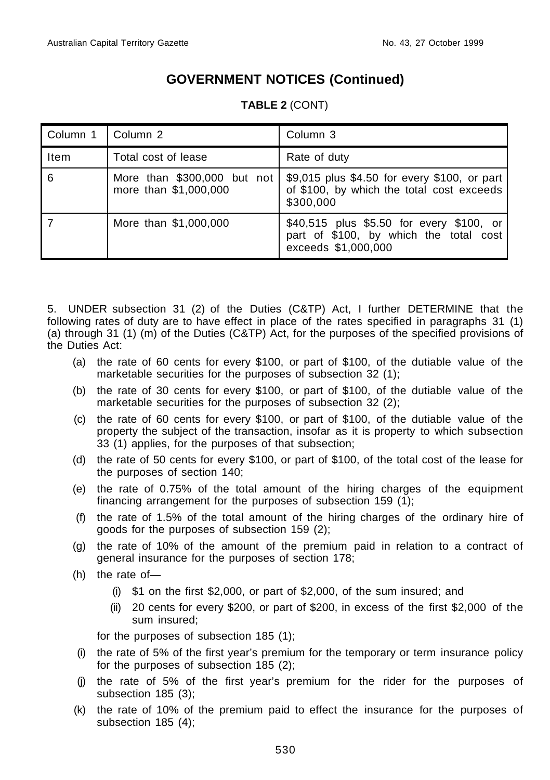| Column 1 | Column 2                                             | Column 3                                                                                                  |
|----------|------------------------------------------------------|-----------------------------------------------------------------------------------------------------------|
| Item     | Total cost of lease                                  | Rate of duty                                                                                              |
| 6        | More than \$300,000 but not<br>more than \$1,000,000 | \$9,015 plus \$4.50 for every \$100, or part<br>of \$100, by which the total cost exceeds<br>\$300,000    |
|          | More than \$1,000,000                                | \$40,515 plus \$5.50 for every \$100, or<br>part of \$100, by which the total cost<br>exceeds \$1,000,000 |

#### **TABLE 2** (CONT)

5. UNDER subsection 31 (2) of the Duties (C&TP) Act, I further DETERMINE that the following rates of duty are to have effect in place of the rates specified in paragraphs 31 (1) (a) through 31 (1) (m) of the Duties (C&TP) Act, for the purposes of the specified provisions of the Duties Act:

- (a) the rate of 60 cents for every \$100, or part of \$100, of the dutiable value of the marketable securities for the purposes of subsection 32 (1);
- (b) the rate of 30 cents for every \$100, or part of \$100, of the dutiable value of the marketable securities for the purposes of subsection 32 (2);
- (c) the rate of 60 cents for every \$100, or part of \$100, of the dutiable value of the property the subject of the transaction, insofar as it is property to which subsection 33 (1) applies, for the purposes of that subsection;
- (d) the rate of 50 cents for every \$100, or part of \$100, of the total cost of the lease for the purposes of section 140;
- (e) the rate of 0.75% of the total amount of the hiring charges of the equipment financing arrangement for the purposes of subsection 159 (1);
- (f) the rate of 1.5% of the total amount of the hiring charges of the ordinary hire of goods for the purposes of subsection 159 (2);
- (g) the rate of 10% of the amount of the premium paid in relation to a contract of general insurance for the purposes of section 178;
- (h) the rate of—
	- (i) \$1 on the first \$2,000, or part of \$2,000, of the sum insured; and
	- (ii) 20 cents for every \$200, or part of \$200, in excess of the first \$2,000 of the sum insured;

for the purposes of subsection 185 (1);

- (i) the rate of 5% of the first year's premium for the temporary or term insurance policy for the purposes of subsection 185 (2);
- (j) the rate of 5% of the first year's premium for the rider for the purposes of subsection 185 (3);
- (k) the rate of 10% of the premium paid to effect the insurance for the purposes of subsection 185 (4);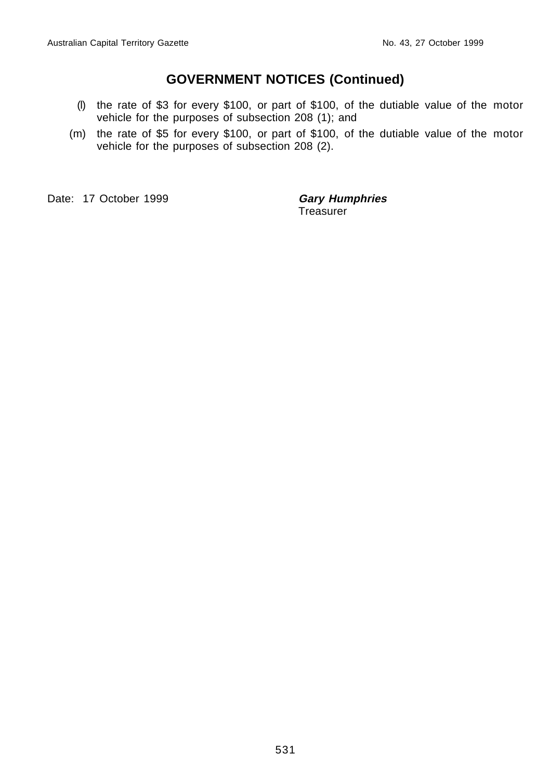- (l) the rate of \$3 for every \$100, or part of \$100, of the dutiable value of the motor vehicle for the purposes of subsection 208 (1); and
- (m) the rate of \$5 for every \$100, or part of \$100, of the dutiable value of the motor vehicle for the purposes of subsection 208 (2).

Date: 17 October 1999 **Gary Humphries** 

**Treasurer**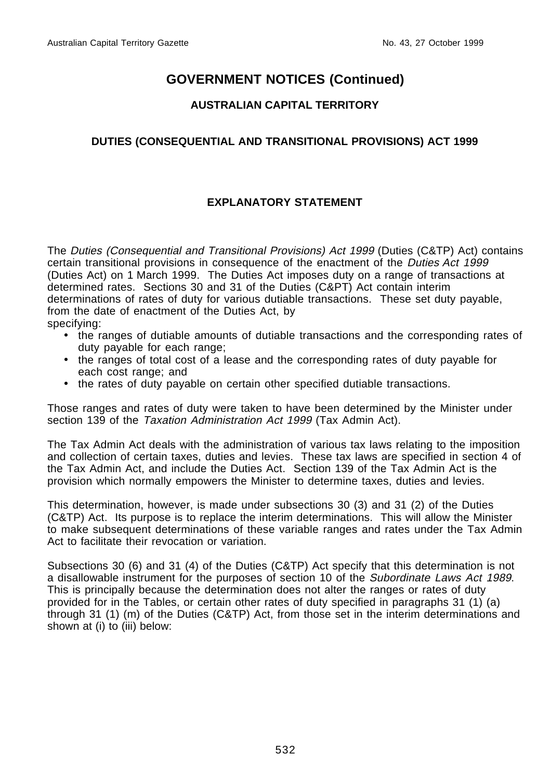#### **AUSTRALIAN CAPITAL TERRITORY**

#### **DUTIES (CONSEQUENTIAL AND TRANSITIONAL PROVISIONS) ACT 1999**

## **EXPLANATORY STATEMENT**

The Duties (Consequential and Transitional Provisions) Act 1999 (Duties (C&TP) Act) contains certain transitional provisions in consequence of the enactment of the Duties Act 1999 (Duties Act) on 1 March 1999. The Duties Act imposes duty on a range of transactions at determined rates. Sections 30 and 31 of the Duties (C&PT) Act contain interim determinations of rates of duty for various dutiable transactions. These set duty payable, from the date of enactment of the Duties Act, by specifying:

- the ranges of dutiable amounts of dutiable transactions and the corresponding rates of duty payable for each range;
- the ranges of total cost of a lease and the corresponding rates of duty payable for each cost range; and
- the rates of duty payable on certain other specified dutiable transactions.

Those ranges and rates of duty were taken to have been determined by the Minister under section 139 of the Taxation Administration Act 1999 (Tax Admin Act).

The Tax Admin Act deals with the administration of various tax laws relating to the imposition and collection of certain taxes, duties and levies. These tax laws are specified in section 4 of the Tax Admin Act, and include the Duties Act. Section 139 of the Tax Admin Act is the provision which normally empowers the Minister to determine taxes, duties and levies.

This determination, however, is made under subsections 30 (3) and 31 (2) of the Duties (C&TP) Act. Its purpose is to replace the interim determinations. This will allow the Minister to make subsequent determinations of these variable ranges and rates under the Tax Admin Act to facilitate their revocation or variation.

Subsections 30 (6) and 31 (4) of the Duties (C&TP) Act specify that this determination is not a disallowable instrument for the purposes of section 10 of the Subordinate Laws Act 1989. This is principally because the determination does not alter the ranges or rates of duty provided for in the Tables, or certain other rates of duty specified in paragraphs 31 (1) (a) through 31 (1) (m) of the Duties (C&TP) Act, from those set in the interim determinations and shown at (i) to (iii) below: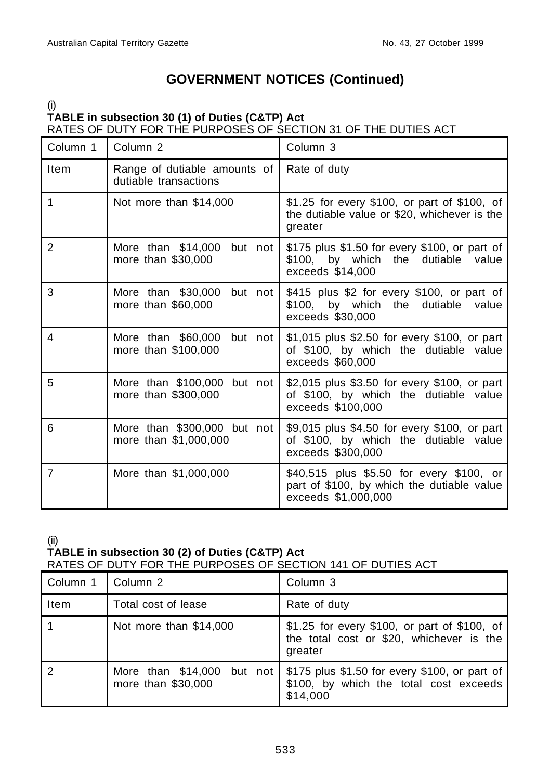(i)

#### **TABLE in subsection 30 (1) of Duties (C&TP) Act** RATES OF DUTY FOR THE PURPOSES OF SECTION 31 OF THE DUTIES ACT

| Column 1       | Column <sub>2</sub>                                                                                                               | Column 3                                                                                                      |  |
|----------------|-----------------------------------------------------------------------------------------------------------------------------------|---------------------------------------------------------------------------------------------------------------|--|
| Item           | Range of dutiable amounts of<br>dutiable transactions                                                                             | Rate of duty                                                                                                  |  |
| 1              | Not more than \$14,000<br>\$1.25 for every \$100, or part of \$100, of<br>the dutiable value or \$20, whichever is the<br>greater |                                                                                                               |  |
| $\overline{2}$ | More than \$14,000<br>but not<br>more than \$30,000                                                                               | \$175 plus \$1.50 for every \$100, or part of<br>\$100, by which<br>the dutiable value<br>exceeds \$14,000    |  |
| 3              | More than \$30,000<br>but not<br>more than \$60,000                                                                               | \$415 plus \$2 for every \$100, or part of<br>\$100, by which the dutiable value<br>exceeds \$30,000          |  |
| 4              | More than \$60,000<br>but not<br>more than \$100,000                                                                              | \$1,015 plus \$2.50 for every \$100, or part<br>of \$100, by which the dutiable value<br>exceeds \$60,000     |  |
| 5              | More than \$100,000 but not<br>more than \$300,000                                                                                | \$2,015 plus \$3.50 for every \$100, or part<br>of \$100, by which the dutiable value<br>exceeds \$100,000    |  |
| 6              | More than \$300,000 but not<br>more than \$1,000,000                                                                              | \$9,015 plus \$4.50 for every \$100, or part<br>of \$100, by which the dutiable value<br>exceeds \$300,000    |  |
| $\overline{7}$ | More than \$1,000,000                                                                                                             | \$40,515 plus \$5.50 for every \$100, or<br>part of \$100, by which the dutiable value<br>exceeds \$1,000,000 |  |

(ii)

#### **TABLE in subsection 30 (2) of Duties (C&TP) Act** RATES OF DUTY FOR THE PURPOSES OF SECTION 141 OF DUTIES ACT

| Column 1 | Column <sub>2</sub>                                 | Column 3                                                                                            |  |
|----------|-----------------------------------------------------|-----------------------------------------------------------------------------------------------------|--|
| Item     | Total cost of lease                                 | Rate of duty                                                                                        |  |
|          | Not more than \$14,000                              | \$1.25 for every \$100, or part of \$100, of<br>the total cost or \$20, whichever is the<br>greater |  |
|          | More than \$14,000<br>but not<br>more than \$30,000 | \$175 plus \$1.50 for every \$100, or part of<br>\$100, by which the total cost exceeds<br>\$14,000 |  |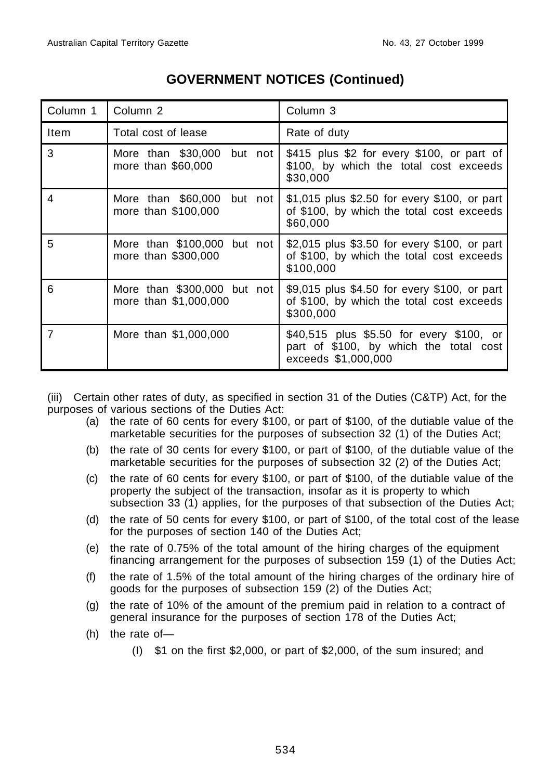| Column 1    | Column <sub>2</sub>                                  | Column <sub>3</sub>                                                                                       |
|-------------|------------------------------------------------------|-----------------------------------------------------------------------------------------------------------|
| <b>Item</b> | Total cost of lease                                  | Rate of duty                                                                                              |
| 3           | More than \$30,000 but not<br>more than \$60,000     | \$415 plus \$2 for every \$100, or part of<br>\$100, by which the total cost exceeds<br>\$30,000          |
| 4           | More than \$60,000 but not<br>more than \$100,000    | \$1,015 plus \$2.50 for every \$100, or part<br>of \$100, by which the total cost exceeds<br>\$60,000     |
| 5           | More than \$100,000 but not<br>more than \$300,000   | \$2,015 plus \$3.50 for every \$100, or part<br>of \$100, by which the total cost exceeds<br>\$100,000    |
| 6           | More than \$300,000 but not<br>more than \$1,000,000 | \$9,015 plus \$4.50 for every \$100, or part<br>of \$100, by which the total cost exceeds<br>\$300,000    |
| 7           | More than \$1,000,000                                | \$40,515 plus \$5.50 for every \$100, or<br>part of \$100, by which the total cost<br>exceeds \$1,000,000 |

(iii) Certain other rates of duty, as specified in section 31 of the Duties (C&TP) Act, for the purposes of various sections of the Duties Act:

- (a) the rate of 60 cents for every \$100, or part of \$100, of the dutiable value of the marketable securities for the purposes of subsection 32 (1) of the Duties Act;
- (b) the rate of 30 cents for every \$100, or part of \$100, of the dutiable value of the marketable securities for the purposes of subsection 32 (2) of the Duties Act;
- (c) the rate of 60 cents for every \$100, or part of \$100, of the dutiable value of the property the subject of the transaction, insofar as it is property to which subsection 33 (1) applies, for the purposes of that subsection of the Duties Act;
- (d) the rate of 50 cents for every \$100, or part of \$100, of the total cost of the lease for the purposes of section 140 of the Duties Act;
- (e) the rate of 0.75% of the total amount of the hiring charges of the equipment financing arrangement for the purposes of subsection 159 (1) of the Duties Act;
- (f) the rate of 1.5% of the total amount of the hiring charges of the ordinary hire of goods for the purposes of subsection 159 (2) of the Duties Act;
- (g) the rate of 10% of the amount of the premium paid in relation to a contract of general insurance for the purposes of section 178 of the Duties Act;
- (h) the rate of—
	- (I) \$1 on the first \$2,000, or part of \$2,000, of the sum insured; and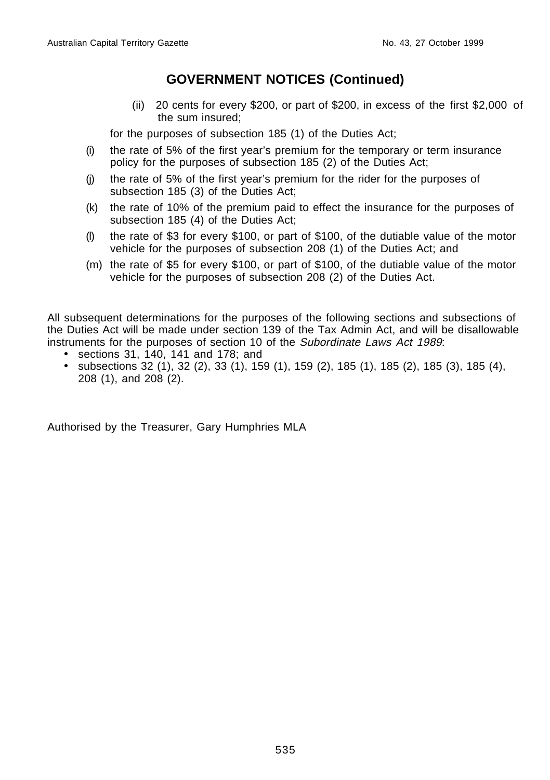(ii) 20 cents for every \$200, or part of \$200, in excess of the first \$2,000 of the sum insured;

for the purposes of subsection 185 (1) of the Duties Act;

- (i) the rate of 5% of the first year's premium for the temporary or term insurance policy for the purposes of subsection 185 (2) of the Duties Act;
- (j) the rate of 5% of the first year's premium for the rider for the purposes of subsection 185 (3) of the Duties Act;
- (k) the rate of 10% of the premium paid to effect the insurance for the purposes of subsection 185 (4) of the Duties Act;
- (l) the rate of \$3 for every \$100, or part of \$100, of the dutiable value of the motor vehicle for the purposes of subsection 208 (1) of the Duties Act; and
- (m) the rate of \$5 for every \$100, or part of \$100, of the dutiable value of the motor vehicle for the purposes of subsection 208 (2) of the Duties Act.

All subsequent determinations for the purposes of the following sections and subsections of the Duties Act will be made under section 139 of the Tax Admin Act, and will be disallowable instruments for the purposes of section 10 of the Subordinate Laws Act 1989:

- sections 31, 140, 141 and 178; and
- subsections 32 (1), 32 (2), 33 (1), 159 (1), 159 (2), 185 (1), 185 (2), 185 (3), 185 (4), 208 (1), and 208 (2).

Authorised by the Treasurer, Gary Humphries MLA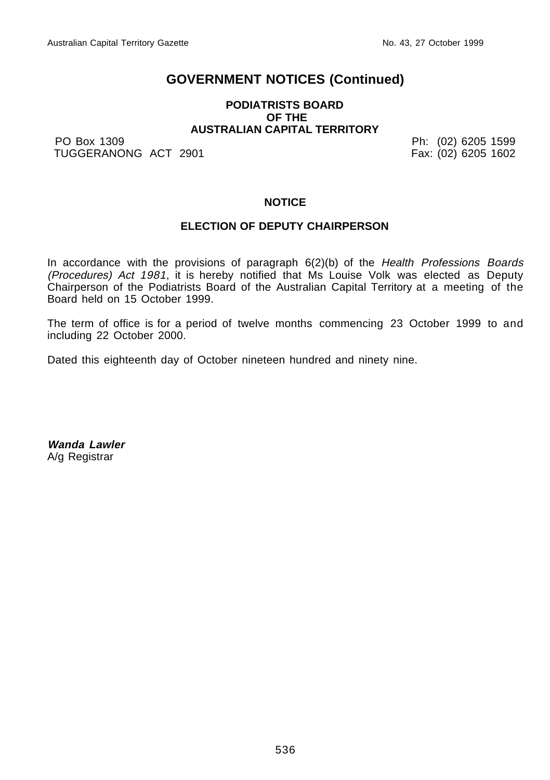#### **PODIATRISTS BOARD OF THE AUSTRALIAN CAPITAL TERRITORY**

PO Box 1309 Ph: (02) 6205 1599 TUGGERANONG ACT 2901 **Fax: (02) 6205 1602** 

#### **NOTICE**

#### **ELECTION OF DEPUTY CHAIRPERSON**

In accordance with the provisions of paragraph  $6(2)(b)$  of the Health Professions Boards (Procedures) Act 1981, it is hereby notified that Ms Louise Volk was elected as Deputy Chairperson of the Podiatrists Board of the Australian Capital Territory at a meeting of the Board held on 15 October 1999.

The term of office is for a period of twelve months commencing 23 October 1999 to and including 22 October 2000.

Dated this eighteenth day of October nineteen hundred and ninety nine.

**Wanda Lawler** A/g Registrar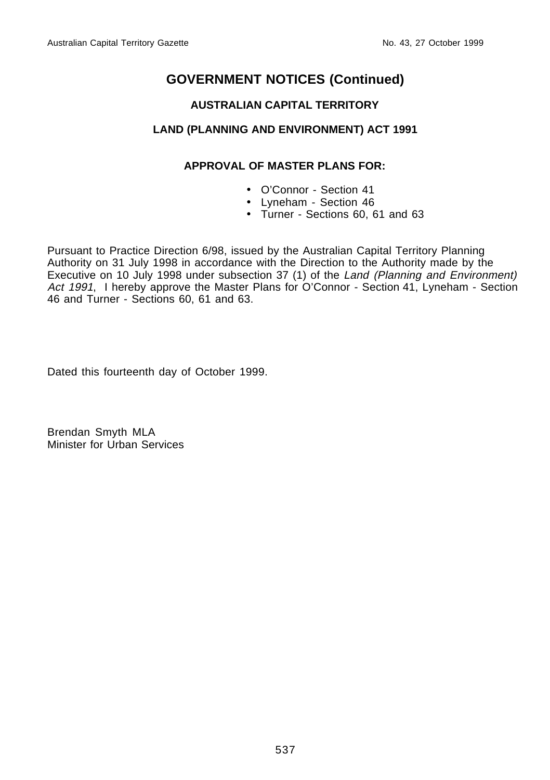#### **AUSTRALIAN CAPITAL TERRITORY**

#### **LAND (PLANNING AND ENVIRONMENT) ACT 1991**

#### **APPROVAL OF MASTER PLANS FOR:**

- O'Connor Section 41
- Lyneham Section 46
- Turner Sections 60, 61 and 63

Pursuant to Practice Direction 6/98, issued by the Australian Capital Territory Planning Authority on 31 July 1998 in accordance with the Direction to the Authority made by the Executive on 10 July 1998 under subsection 37 (1) of the Land (Planning and Environment) Act 1991, I hereby approve the Master Plans for O'Connor - Section 41, Lyneham - Section 46 and Turner - Sections 60, 61 and 63.

Dated this fourteenth day of October 1999.

Brendan Smyth MLA Minister for Urban Services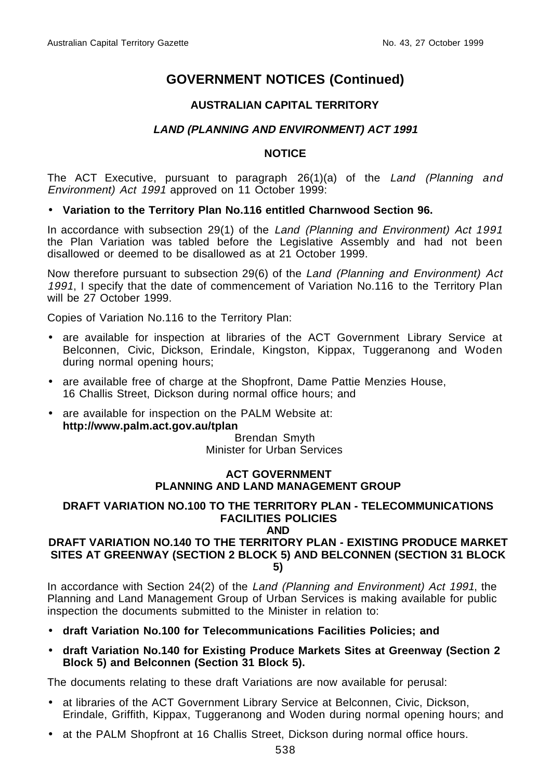#### **AUSTRALIAN CAPITAL TERRITORY**

## **LAND (PLANNING AND ENVIRONMENT) ACT 1991**

#### **NOTICE**

The ACT Executive, pursuant to paragraph 26(1)(a) of the Land (Planning and Environment) Act 1991 approved on 11 October 1999:

#### • **Variation to the Territory Plan No.116 entitled Charnwood Section 96.**

In accordance with subsection 29(1) of the Land (Planning and Environment) Act 1991 the Plan Variation was tabled before the Legislative Assembly and had not been disallowed or deemed to be disallowed as at 21 October 1999.

Now therefore pursuant to subsection 29(6) of the Land (Planning and Environment) Act 1991, I specify that the date of commencement of Variation No.116 to the Territory Plan will be 27 October 1999.

Copies of Variation No.116 to the Territory Plan:

- are available for inspection at libraries of the ACT Government Library Service at Belconnen, Civic, Dickson, Erindale, Kingston, Kippax, Tuggeranong and Woden during normal opening hours;
- are available free of charge at the Shopfront, Dame Pattie Menzies House, 16 Challis Street, Dickson during normal office hours; and
- are available for inspection on the PALM Website at:  **http://www.palm.act.gov.au/tplan**

Brendan Smyth Minister for Urban Services

#### **ACT GOVERNMENT PLANNING AND LAND MANAGEMENT GROUP**

#### **DRAFT VARIATION NO.100 TO THE TERRITORY PLAN - TELECOMMUNICATIONS FACILITIES POLICIES**

**AND**

#### **DRAFT VARIATION NO.140 TO THE TERRITORY PLAN - EXISTING PRODUCE MARKET SITES AT GREENWAY (SECTION 2 BLOCK 5) AND BELCONNEN (SECTION 31 BLOCK 5)**

In accordance with Section 24(2) of the Land (Planning and Environment) Act 1991, the Planning and Land Management Group of Urban Services is making available for public inspection the documents submitted to the Minister in relation to:

- **draft Variation No.100 for Telecommunications Facilities Policies; and**
- **draft Variation No.140 for Existing Produce Markets Sites at Greenway (Section 2 Block 5) and Belconnen (Section 31 Block 5).**

The documents relating to these draft Variations are now available for perusal:

- at libraries of the ACT Government Library Service at Belconnen, Civic, Dickson, Erindale, Griffith, Kippax, Tuggeranong and Woden during normal opening hours; and
- at the PALM Shopfront at 16 Challis Street, Dickson during normal office hours.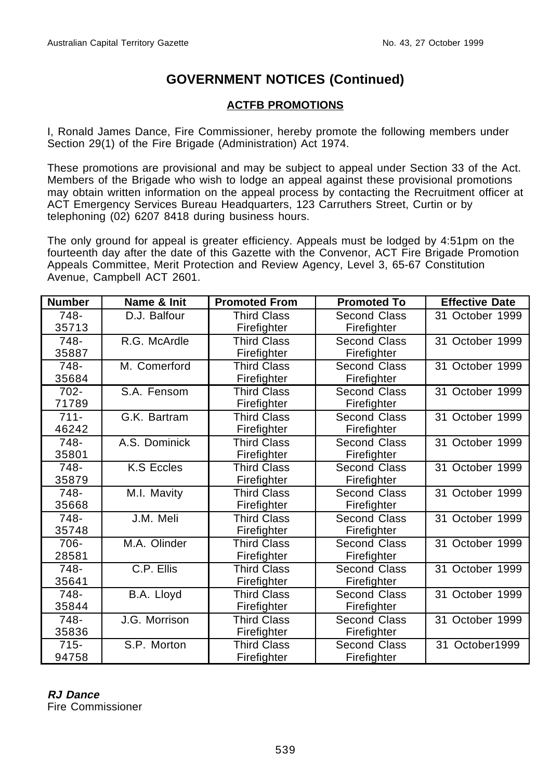### **ACTFB PROMOTIONS**

I, Ronald James Dance, Fire Commissioner, hereby promote the following members under Section 29(1) of the Fire Brigade (Administration) Act 1974.

These promotions are provisional and may be subject to appeal under Section 33 of the Act. Members of the Brigade who wish to lodge an appeal against these provisional promotions may obtain written information on the appeal process by contacting the Recruitment officer at ACT Emergency Services Bureau Headquarters, 123 Carruthers Street, Curtin or by telephoning (02) 6207 8418 during business hours.

The only ground for appeal is greater efficiency. Appeals must be lodged by 4:51pm on the fourteenth day after the date of this Gazette with the Convenor, ACT Fire Brigade Promotion Appeals Committee, Merit Protection and Review Agency, Level 3, 65-67 Constitution Avenue, Campbell ACT 2601.

| <b>Number</b> | Name & Init   | <b>Promoted From</b> | <b>Promoted To</b>  | <b>Effective Date</b> |
|---------------|---------------|----------------------|---------------------|-----------------------|
| 748-          | D.J. Balfour  | <b>Third Class</b>   | <b>Second Class</b> | 31 October 1999       |
| 35713         |               | Firefighter          | Firefighter         |                       |
| 748-          | R.G. McArdle  | <b>Third Class</b>   | Second Class        | 31 October 1999       |
| 35887         |               | Firefighter          | Firefighter         |                       |
| 748-          | M. Comerford  | <b>Third Class</b>   | Second Class        | 31 October 1999       |
| 35684         |               | Firefighter          | Firefighter         |                       |
| $702 -$       | S.A. Fensom   | Third Class          | Second Class        | 31 October 1999       |
| 71789         |               | Firefighter          | Firefighter         |                       |
| $711 -$       | G.K. Bartram  | Third Class          | Second Class        | 31 October 1999       |
| 46242         |               | Firefighter          | Firefighter         |                       |
| 748-          | A.S. Dominick | <b>Third Class</b>   | Second Class        | 31 October 1999       |
| 35801         |               | Firefighter          | Firefighter         |                       |
| 748-          | K.S Eccles    | <b>Third Class</b>   | Second Class        | 31 October 1999       |
| 35879         |               | Firefighter          | Firefighter         |                       |
| 748-          | M.I. Mavity   | Third Class          | Second Class        | 31 October 1999       |
| 35668         |               | Firefighter          | Firefighter         |                       |
| 748-          | J.M. Meli     | Third Class          | Second Class        | 31 October 1999       |
| 35748         |               | Firefighter          | Firefighter         |                       |
| 706-          | M.A. Olinder  | <b>Third Class</b>   | <b>Second Class</b> | 31 October 1999       |
| 28581         |               | Firefighter          | Firefighter         |                       |
| 748-          | C.P. Ellis    | <b>Third Class</b>   | Second Class        | 31 October 1999       |
| 35641         |               | Firefighter          | Firefighter         |                       |
| 748-          | B.A. Lloyd    | <b>Third Class</b>   | <b>Second Class</b> | 31 October 1999       |
| 35844         |               | Firefighter          | Firefighter         |                       |
| 748-          | J.G. Morrison | <b>Third Class</b>   | <b>Second Class</b> | 31 October 1999       |
| 35836         |               | Firefighter          | Firefighter         |                       |
| $715 -$       | S.P. Morton   | Third Class          | Second Class        | 31 October1999        |
| 94758         |               | Firefighter          | Firefighter         |                       |

# **RJ Dance**

Fire Commissioner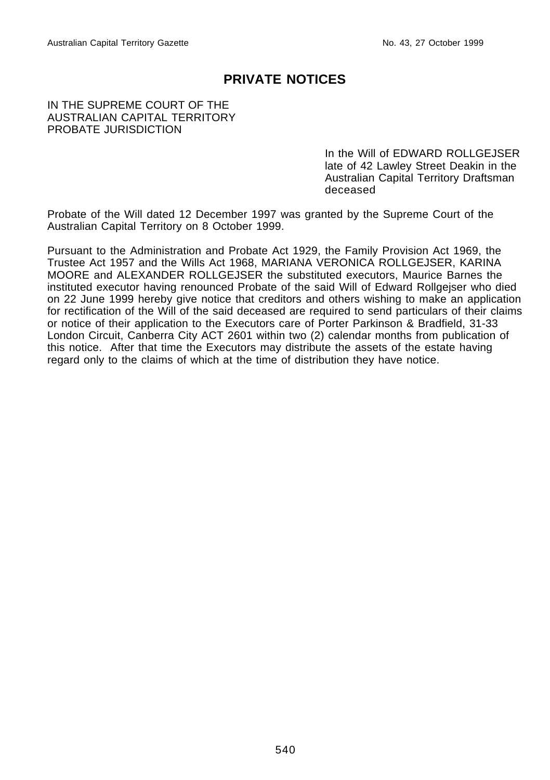## **PRIVATE NOTICES**

#### IN THE SUPREME COURT OF THE AUSTRALIAN CAPITAL TERRITORY PROBATE JURISDICTION

In the Will of EDWARD ROLLGEJSER late of 42 Lawley Street Deakin in the Australian Capital Territory Draftsman deceased

Probate of the Will dated 12 December 1997 was granted by the Supreme Court of the Australian Capital Territory on 8 October 1999.

Pursuant to the Administration and Probate Act 1929, the Family Provision Act 1969, the Trustee Act 1957 and the Wills Act 1968, MARIANA VERONICA ROLLGEJSER, KARINA MOORE and ALEXANDER ROLLGEJSER the substituted executors, Maurice Barnes the instituted executor having renounced Probate of the said Will of Edward Rollgejser who died on 22 June 1999 hereby give notice that creditors and others wishing to make an application for rectification of the Will of the said deceased are required to send particulars of their claims or notice of their application to the Executors care of Porter Parkinson & Bradfield, 31-33 London Circuit, Canberra City ACT 2601 within two (2) calendar months from publication of this notice. After that time the Executors may distribute the assets of the estate having regard only to the claims of which at the time of distribution they have notice.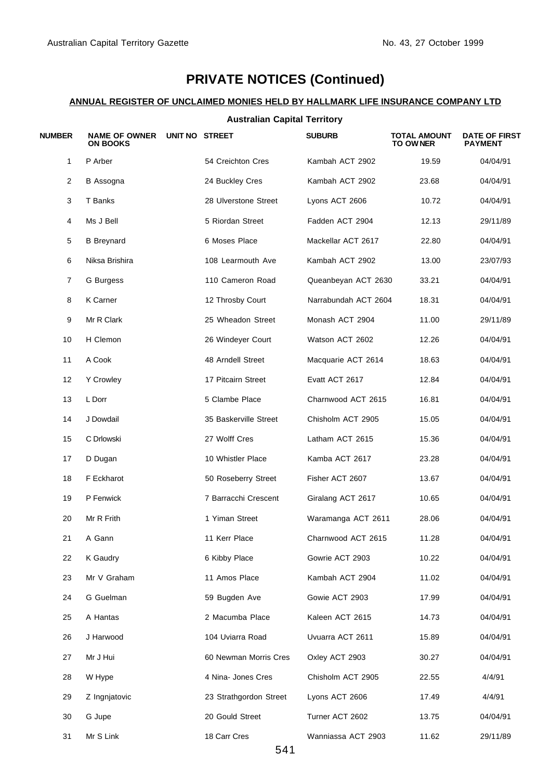# **PRIVATE NOTICES (Continued)**

#### **ANNUAL REGISTER OF UNCLAIMED MONIES HELD BY HALLMARK LIFE INSURANCE COMPANY LTD**

#### **Australian Capital Territory**

| <b>NUMBER</b> | <b>NAME OF OWNER</b><br><b>ON BOOKS</b> | UNIT NO STREET         | <b>SUBURB</b>        | <b>TOTAL AMOUNT</b><br>TO OWNER | <b>DATE OF FIRST</b><br><b>PAYMENT</b> |
|---------------|-----------------------------------------|------------------------|----------------------|---------------------------------|----------------------------------------|
| $\mathbf{1}$  | P Arber                                 | 54 Creichton Cres      | Kambah ACT 2902      | 19.59                           | 04/04/91                               |
| 2             | <b>B</b> Assogna                        | 24 Buckley Cres        | Kambah ACT 2902      | 23.68                           | 04/04/91                               |
| 3             | T Banks                                 | 28 Ulverstone Street   | Lyons ACT 2606       | 10.72                           | 04/04/91                               |
| 4             | Ms J Bell                               | 5 Riordan Street       | Fadden ACT 2904      | 12.13                           | 29/11/89                               |
| 5             | <b>B</b> Breynard                       | 6 Moses Place          | Mackellar ACT 2617   | 22.80                           | 04/04/91                               |
| 6             | Niksa Brishira                          | 108 Learmouth Ave      | Kambah ACT 2902      | 13.00                           | 23/07/93                               |
| 7             | G Burgess                               | 110 Cameron Road       | Queanbeyan ACT 2630  | 33.21                           | 04/04/91                               |
| 8             | K Carner                                | 12 Throsby Court       | Narrabundah ACT 2604 | 18.31                           | 04/04/91                               |
| 9             | Mr R Clark                              | 25 Wheadon Street      | Monash ACT 2904      | 11.00                           | 29/11/89                               |
| 10            | H Clemon                                | 26 Windeyer Court      | Watson ACT 2602      | 12.26                           | 04/04/91                               |
| 11            | A Cook                                  | 48 Arndell Street      | Macquarie ACT 2614   | 18.63                           | 04/04/91                               |
| 12            | <b>Y Crowley</b>                        | 17 Pitcairn Street     | Evatt ACT 2617       | 12.84                           | 04/04/91                               |
| 13            | L Dorr                                  | 5 Clambe Place         | Charnwood ACT 2615   | 16.81                           | 04/04/91                               |
| 14            | J Dowdail                               | 35 Baskerville Street  | Chisholm ACT 2905    | 15.05                           | 04/04/91                               |
| 15            | C Drlowski                              | 27 Wolff Cres          | Latham ACT 2615      | 15.36                           | 04/04/91                               |
| 17            | D Dugan                                 | 10 Whistler Place      | Kamba ACT 2617       | 23.28                           | 04/04/91                               |
| 18            | F Eckharot                              | 50 Roseberry Street    | Fisher ACT 2607      | 13.67                           | 04/04/91                               |
| 19            | P Fenwick                               | 7 Barracchi Crescent   | Giralang ACT 2617    | 10.65                           | 04/04/91                               |
| 20            | Mr R Frith                              | 1 Yiman Street         | Waramanga ACT 2611   | 28.06                           | 04/04/91                               |
| 21            | A Gann                                  | 11 Kerr Place          | Charnwood ACT 2615   | 11.28                           | 04/04/91                               |
| 22            | K Gaudry                                | 6 Kibby Place          | Gowrie ACT 2903      | 10.22                           | 04/04/91                               |
| 23            | Mr V Graham                             | 11 Amos Place          | Kambah ACT 2904      | 11.02                           | 04/04/91                               |
| 24            | G Guelman                               | 59 Bugden Ave          | Gowie ACT 2903       | 17.99                           | 04/04/91                               |
| 25            | A Hantas                                | 2 Macumba Place        | Kaleen ACT 2615      | 14.73                           | 04/04/91                               |
| 26            | J Harwood                               | 104 Uviarra Road       | Uvuarra ACT 2611     | 15.89                           | 04/04/91                               |
| 27            | Mr J Hui                                | 60 Newman Morris Cres  | Oxley ACT 2903       | 30.27                           | 04/04/91                               |
| 28            | W Hype                                  | 4 Nina- Jones Cres     | Chisholm ACT 2905    | 22.55                           | 4/4/91                                 |
| 29            | Z Ingnjatovic                           | 23 Strathgordon Street | Lyons ACT 2606       | 17.49                           | 4/4/91                                 |
| 30            | G Jupe                                  | 20 Gould Street        | Turner ACT 2602      | 13.75                           | 04/04/91                               |
| 31            | Mr S Link                               | 18 Carr Cres           | Wanniassa ACT 2903   | 11.62                           | 29/11/89                               |